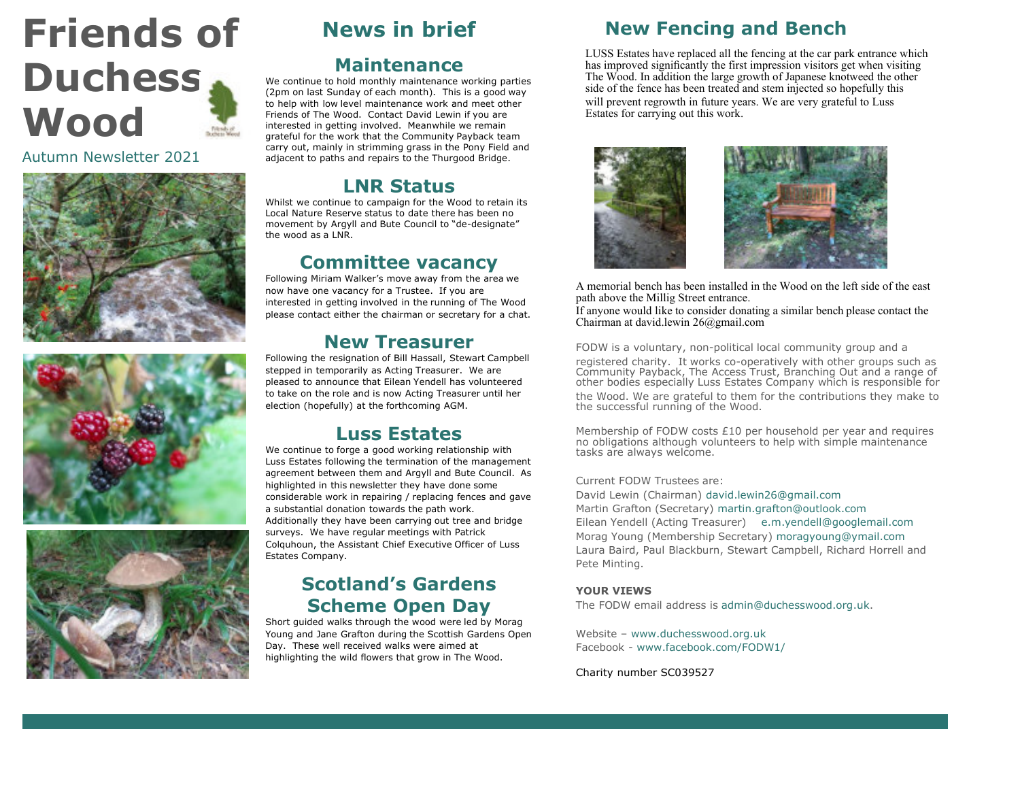# **Friends of Duchess Wood**

Autumn Newsletter 2021







# **News in brief**

#### **Maintenance**

We continue to hold monthly maintenance working parties (2pm on last Sunday of each month). This is a good way to help with low level maintenance work and meet other Friends of The Wood. Contact David Lewin if you are interested in getting involved. Meanwhile we remain grateful for the work that the Community Payback team carry out, mainly in strimming grass in the Pony Field and adjacent to paths and repairs to the Thurgood Bridge.

#### **LNR Status**

Whilst we continue to campaign for the Wood to retain its Local Nature Reserve status to date there has been no movement by Argyll and Bute Council to "de-designate" the wood as a LNR.

## **Committee vacancy**

Following Miriam Walker's move away from the area we now have one vacancy for a Trustee. If you are interested in getting involved in the running of The Wood please contact either the chairman or secretary for a chat.

#### **New Treasurer**

Following the resignation of Bill Hassall, Stewart Campbell stepped in temporarily as Acting Treasurer. We are pleased to announce that Eilean Yendell has volunteered to take on the role and is now Acting Treasurer until her election (hopefully) at the forthcoming AGM.

#### **Luss Estates**

We continue to forge a good working relationship with Luss Estates following the termination of the management agreement between them and Argyll and Bute Council. As highlighted in this newsletter they have done some considerable work in repairing / replacing fences and gave a substantial donation towards the path work. Additionally they have been carrying out tree and bridge surveys. We have regular meetings with Patrick Colquhoun, the Assistant Chief Executive Officer of Luss Estates Company.

#### **Scotland's Gardens Scheme Open Day**

Short guided walks through the wood were led by Morag Young and Jane Grafton during the Scottish Gardens Open Day. These well received walks were aimed at highlighting the wild flowers that grow in The Wood.

### **New Fencing and Bench**

LUSS Estates have replaced all the fencing at the car park entrance which has improved significantly the first impression visitors get when visiting The Wood. In addition the large growth of Japanese knotweed the other side of the fence has been treated and stem injected so hopefully this will prevent regrowth in future years. We are very grateful to Luss Estates for carrying out this work.



A memorial bench has been installed in the Wood on the left side of the east path above the Millig Street entrance.

If anyone would like to consider donating a similar bench please contact the Chairman at david.lewin 26@gmail.com

FODW is a voluntary, non-political local community group and a registered charity. It works co-operatively with other groups such as Community Payback, The Access Trust, Branching Out and a range of other bodies especially Luss Estates Company which is responsible for the Wood. We are grateful to them for the contributions they make to the successful running of the Wood.

Membership of FODW costs  $£10$  per household per year and requires no obligations although volunteers to help with simple maintenance tasks are always welcome.

#### Current FODW Trustees are:

David Lewin (Chairman) david.lewin26@gmail.com Martin Grafton (Secretary) martin.grafton@outlook.com Eilean Yendell (Acting Treasurer) e.m.yendell@googlemail.com Morag Young (Membership Secretary) moragyoung@ymail.com Laura Baird, Paul Blackburn, Stewart Campbell, Richard Horrell and Pete Minting.

#### **YOUR VIEWS**

The FODW email address is admin@duchesswood.org.uk.

Website – www.duchesswood.org.uk Facebook - www.facebook.com/FODW1/

Charity number SC039527